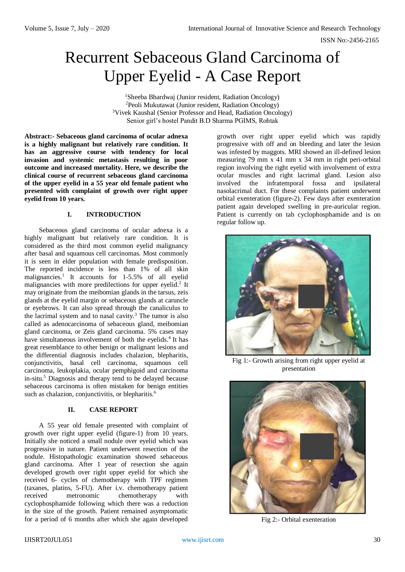ISSN No:-2456-2165

# Recurrent Sebaceous Gland Carcinoma of Upper Eyelid - A Case Report

Sheeba Bhardwaj (Junior resident, Radiation Oncology) Peoli Mukutawat (Junior resident, Radiation Oncology) Vivek Kaushal (Senior Professor and Head, Radiation Oncology) Senior girl's hostel Pandit B.D Sharma PGIMS, Rohtak

**Abstract:- Sebaceous gland carcinoma of ocular adnexa is a highly malignant but relatively rare condition. It has an aggressive course with tendency for local invasion and systemic metastasis resulting in poor outcome and increased mortality. Here, we describe the clinical course of recurrent sebaceous gland carcinoma of the upper eyelid in a 55 year old female patient who presented with complaint of growth over right upper eyelid from 10 years.**

## **I. INTRODUCTION**

Sebaceous gland carcinoma of ocular adnexa is a highly malignant but relatively rare condition. It is considered as the third most common eyelid malignancy after basal and squamous cell carcinomas. Most commonly it is seen in elder population with female predisposition. The reported incidence is less than 1% of all skin malignancies.<sup>1</sup> It accounts for 1-5.5% of all eyelid malignancies with more predilections for upper eyelid.<sup>2</sup> It may originate from the meibomian glands in the tarsus, zeis glands at the eyelid margin or sebaceous glands at caruncle or eyebrows. It can also spread through the canaliculus to the lacrimal system and to nasal cavity.<sup>3</sup> The tumor is also called as adenocarcinoma of sebaceous gland, meibomian gland carcinoma, or Zeis gland carcinoma. 5% cases may have simultaneous involvement of both the eyelids.<sup>4</sup> It has great resemblance to other benign or malignant lesions and the differential diagnosis includes chalazion, blepharitis, conjunctivitis, basal cell carcinoma, squamous cell carcinoma, leukoplakia, ocular pemphigoid and carcinoma in-situ. <sup>5</sup> Diagnosis and therapy tend to be delayed because sebaceous carcinoma is often mistaken for benign entities such as chalazion, conjunctivitis, or blepharitis.<sup>6</sup>

### **II. CASE REPORT**

A 55 year old female presented with complaint of growth over right upper eyelid (figure-1) from 10 years. Initially she noticed a small nodule over eyelid which was progressive in nature. Patient underwent resection of the nodule. Histopathologic examination showed sebaceous gland carcinoma. After 1 year of resection she again developed growth over right upper eyelid for which she received 6- cycles of chemotherapy with TPF regimen (taxanes, platins, 5-FU). After i.v. chemotherapy patient received metronomic chemotherapy with cyclophosphamide following which there was a reduction in the size of the growth. Patient remained asymptomatic for a period of 6 months after which she again developed

growth over right upper eyelid which was rapidly progressive with off and on bleeding and later the lesion was infested by maggots. MRI showed an ill-defined lesion measuring 79 mm x 41 mm x 34 mm in right peri-orbital region involving the right eyelid with involvement of extra ocular muscles and right lacrimal gland. Lesion also involved the infratemporal fossa and ipsilateral nasolacrimal duct. For these complaints patient underwent orbital exenteration (figure-2). Few days after exenteration patient again developed swelling in pre-auricular region. Patient is currently on tab cyclophosphamide and is on regular follow up.



Fig 1:- Growth arising from right upper eyelid at presentation



Fig 2:- Orbital exenteration